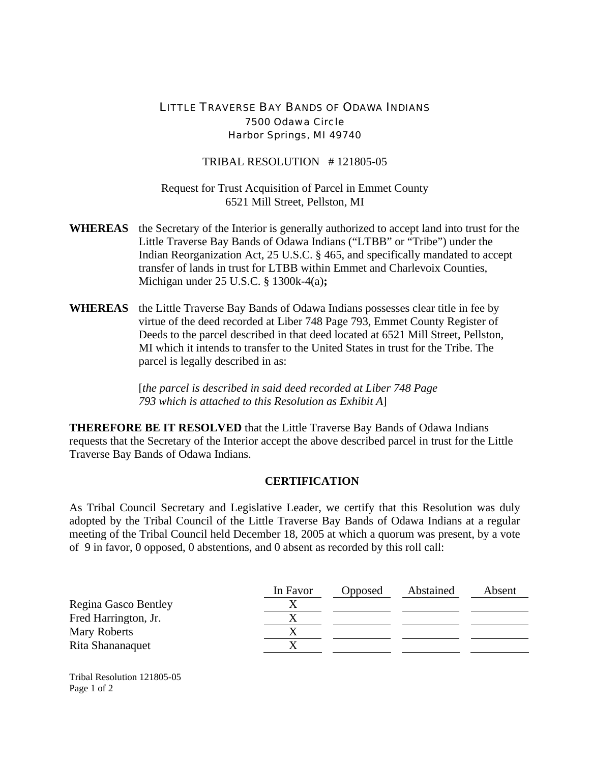## LITTLE TRAVERSE BAY BANDS OF ODAWA INDIANS 7500 Odawa Circle Harbor Springs, MI 49740

TRIBAL RESOLUTION # 121805-05

Request for Trust Acquisition of Parcel in Emmet County 6521 Mill Street, Pellston, MI

- **WHEREAS** the Secretary of the Interior is generally authorized to accept land into trust for the Little Traverse Bay Bands of Odawa Indians ("LTBB" or "Tribe") under the Indian Reorganization Act, 25 U.S.C. § 465, and specifically mandated to accept transfer of lands in trust for LTBB within Emmet and Charlevoix Counties, Michigan under 25 U.S.C. § 1300k-4(a)**;**
- **WHEREAS** the Little Traverse Bay Bands of Odawa Indians possesses clear title in fee by virtue of the deed recorded at Liber 748 Page 793, Emmet County Register of Deeds to the parcel described in that deed located at 6521 Mill Street, Pellston, MI which it intends to transfer to the United States in trust for the Tribe. The parcel is legally described in as:

[*the parcel is described in said deed recorded at Liber 748 Page 793 which is attached to this Resolution as Exhibit A*]

**THEREFORE BE IT RESOLVED** that the Little Traverse Bay Bands of Odawa Indians requests that the Secretary of the Interior accept the above described parcel in trust for the Little Traverse Bay Bands of Odawa Indians.

## **CERTIFICATION**

As Tribal Council Secretary and Legislative Leader, we certify that this Resolution was duly adopted by the Tribal Council of the Little Traverse Bay Bands of Odawa Indians at a regular meeting of the Tribal Council held December 18, 2005 at which a quorum was present, by a vote of 9 in favor, 0 opposed, 0 abstentions, and 0 absent as recorded by this roll call:

|                      | In Favor | Opposed | Abstained | Absent |
|----------------------|----------|---------|-----------|--------|
| Regina Gasco Bentley |          |         |           |        |
| Fred Harrington, Jr. |          |         |           |        |
| Mary Roberts         |          |         |           |        |
| Rita Shananaquet     |          |         |           |        |

Tribal Resolution 121805-05 Page 1 of 2